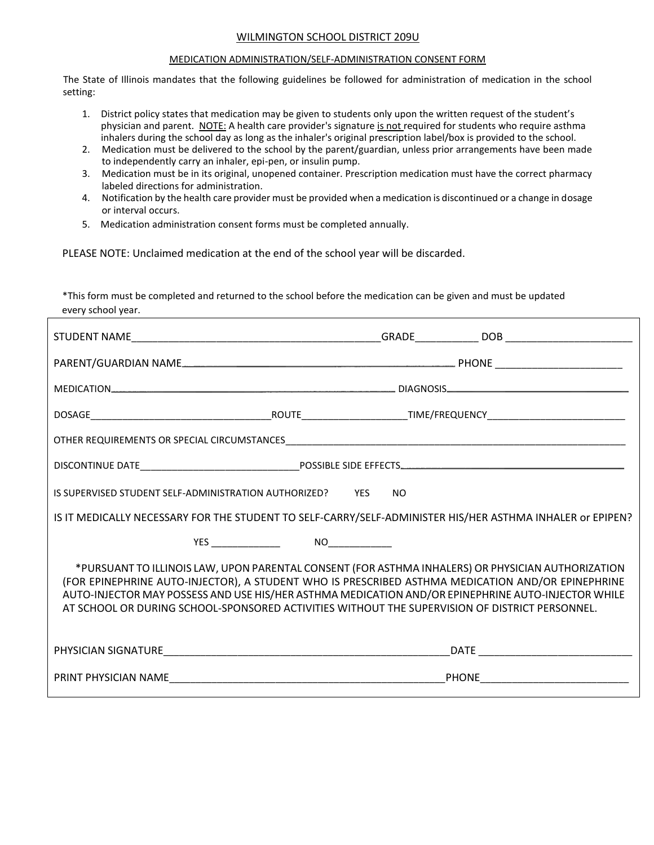# WILMINGTON SCHOOL DISTRICT 209U

#### MEDICATION ADMINISTRATION/SELF-ADMINISTRATION CONSENT FORM

The State of Illinois mandates that the following guidelines be followed for administration of medication in the school setting:

- 1. District policy states that medication may be given to students only upon the written request of the student's physician and parent. NOTE: A health care provider's signature is not required for students who require asthma inhalers during the school day as long as the inhaler's original prescription label/box is provided to the school.
- 2. Medication must be delivered to the school by the parent/guardian, unless prior arrangements have been made to independently carry an inhaler, epi-pen, or insulin pump.
- 3. Medication must be in its original, unopened container. Prescription medication must have the correct pharmacy labeled directions for administration.
- 4. Notification by the health care provider must be provided when a medication is discontinued or a change in dosage or interval occurs.
- 5. Medication administration consent forms must be completed annually.

PLEASE NOTE: Unclaimed medication at the end of the school year will be discarded.

\*This form must be completed and returned to the school before the medication can be given and must be updated every school year.

| IS SUPERVISED STUDENT SELF-ADMINISTRATION AUTHORIZED? YES                                                 | <b>NO</b>                                                                                                                                                                                                                                                                                                                                                                                                      |
|-----------------------------------------------------------------------------------------------------------|----------------------------------------------------------------------------------------------------------------------------------------------------------------------------------------------------------------------------------------------------------------------------------------------------------------------------------------------------------------------------------------------------------------|
| IS IT MEDICALLY NECESSARY FOR THE STUDENT TO SELF-CARRY/SELF-ADMINISTER HIS/HER ASTHMA INHALER or EPIPEN? |                                                                                                                                                                                                                                                                                                                                                                                                                |
| $YES$ NO $NOS$                                                                                            |                                                                                                                                                                                                                                                                                                                                                                                                                |
|                                                                                                           | *PURSUANT TO ILLINOIS LAW, UPON PARENTAL CONSENT (FOR ASTHMA INHALERS) OR PHYSICIAN AUTHORIZATION<br>(FOR EPINEPHRINE AUTO-INJECTOR), A STUDENT WHO IS PRESCRIBED ASTHMA MEDICATION AND/OR EPINEPHRINE<br>AUTO-INJECTOR MAY POSSESS AND USE HIS/HER ASTHMA MEDICATION AND/OR EPINEPHRINE AUTO-INJECTOR WHILE<br>AT SCHOOL OR DURING SCHOOL-SPONSORED ACTIVITIES WITHOUT THE SUPERVISION OF DISTRICT PERSONNEL. |
|                                                                                                           |                                                                                                                                                                                                                                                                                                                                                                                                                |
|                                                                                                           |                                                                                                                                                                                                                                                                                                                                                                                                                |